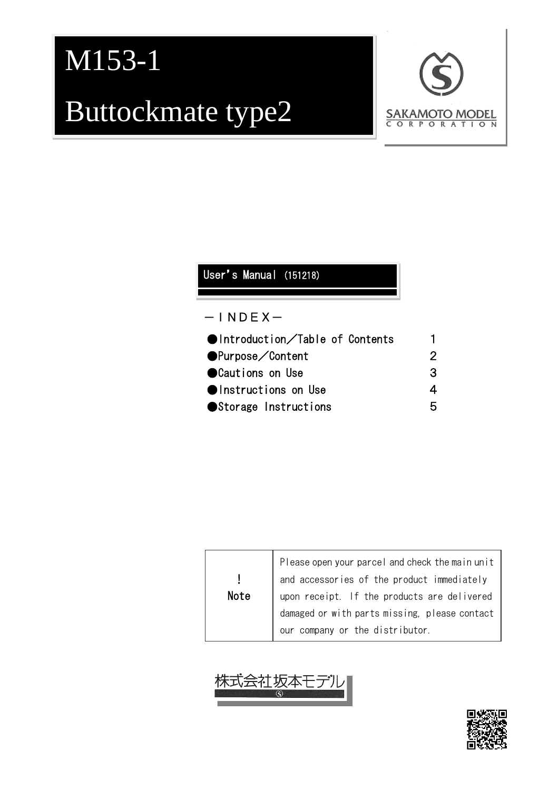# M153-1 Buttockmate type2



#### ●Introduction/Table of Contents 1 ●Purpose/Content 2 ● Cautions on Use 3 ●Instructions on Use 4 ●Storage Instructions 5 User's Manual (151218)  $-$ INDEX $-$

|      | Please open your parcel and check the main unit |
|------|-------------------------------------------------|
|      | and accessories of the product immediately      |
| Note | upon receipt. If the products are delivered     |
|      | damaged or with parts missing, please contact   |
|      | our company or the distributor.                 |



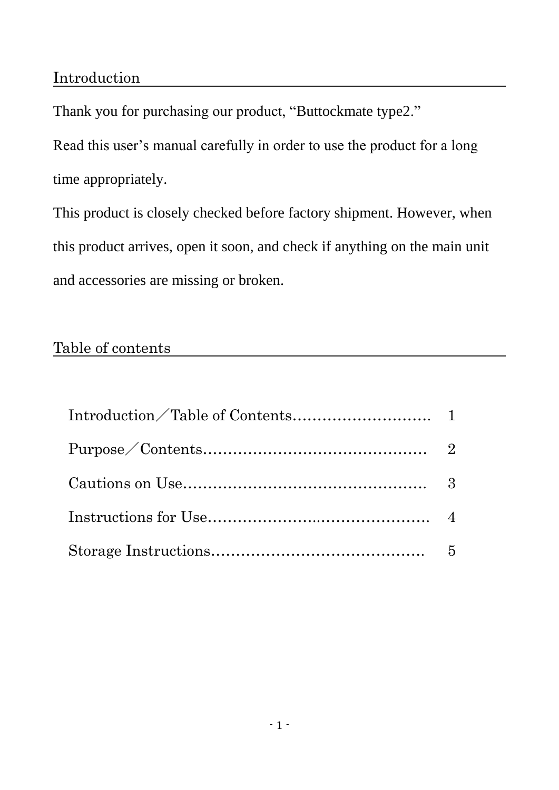Thank you for purchasing our product, "Buttockmate type2."

Read this user's manual carefully in order to use the product for a long time appropriately.

This product is closely checked before factory shipment. However, when this product arrives, open it soon, and check if anything on the main unit and accessories are missing or broken.

#### Table of contents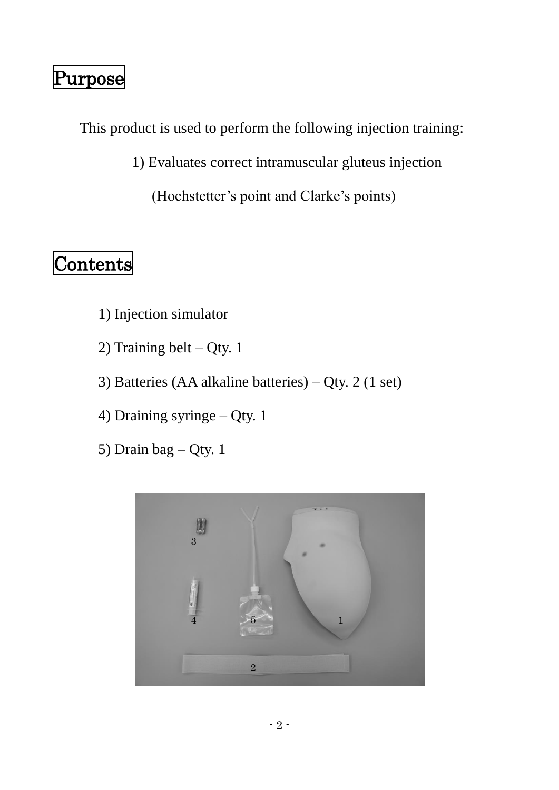#### Purpose

This product is used to perform the following injection training:

1) Evaluates correct intramuscular gluteus injection

(Hochstetter's point and Clarke's points)

#### Contents

- 1) Injection simulator
- 2) Training belt Qty. 1
- 3) Batteries (AA alkaline batteries) Qty. 2 (1 set)
- 4) Draining syringe Qty. 1
- 5) Drain bag Qty. 1

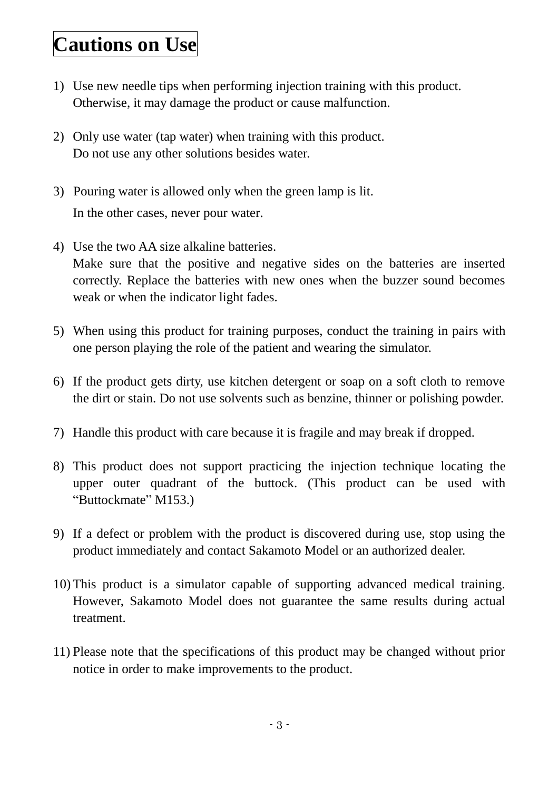#### **Cautions on Use**

- 1) Use new needle tips when performing injection training with this product. Otherwise, it may damage the product or cause malfunction.
- 2) Only use water (tap water) when training with this product. Do not use any other solutions besides water.
- 3) Pouring water is allowed only when the green lamp is lit. In the other cases, never pour water.
- 4) Use the two AA size alkaline batteries. Make sure that the positive and negative sides on the batteries are inserted correctly. Replace the batteries with new ones when the buzzer sound becomes weak or when the indicator light fades.
- 5) When using this product for training purposes, conduct the training in pairs with one person playing the role of the patient and wearing the simulator.
- 6) If the product gets dirty, use kitchen detergent or soap on a soft cloth to remove the dirt or stain. Do not use solvents such as benzine, thinner or polishing powder.
- 7) Handle this product with care because it is fragile and may break if dropped.
- 8) This product does not support practicing the injection technique locating the upper outer quadrant of the buttock. (This product can be used with "Buttockmate" M153.)
- 9) If a defect or problem with the product is discovered during use, stop using the product immediately and contact Sakamoto Model or an authorized dealer.
- 10) This product is a simulator capable of supporting advanced medical training. However, Sakamoto Model does not guarantee the same results during actual treatment.
- 11) Please note that the specifications of this product may be changed without prior notice in order to make improvements to the product.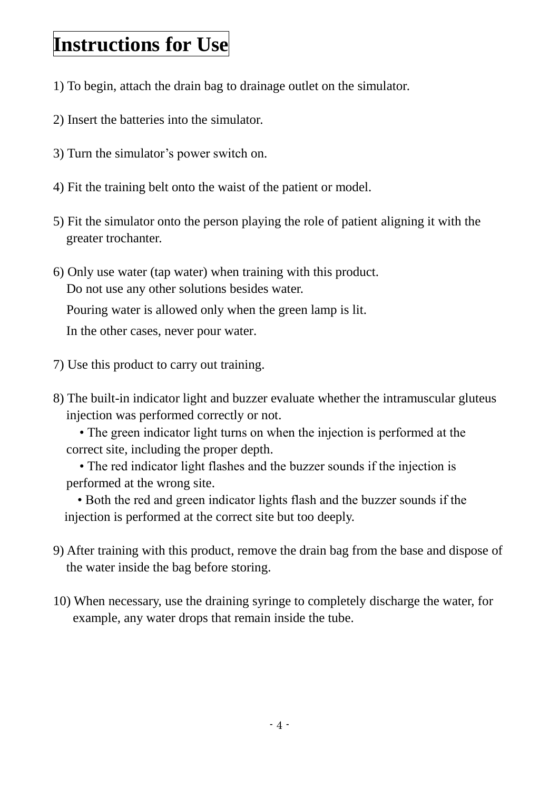## **Instructions for Use**

- 1) To begin, attach the drain bag to drainage outlet on the simulator.
- 2) Insert the batteries into the simulator.
- 3) Turn the simulator's power switch on.
- 4) Fit the training belt onto the waist of the patient or model.
- 5) Fit the simulator onto the person playing the role of patient aligning it with the greater trochanter.
- 6) Only use water (tap water) when training with this product. Do not use any other solutions besides water.

Pouring water is allowed only when the green lamp is lit.

In the other cases, never pour water.

- 7) Use this product to carry out training.
- 8) The built-in indicator light and buzzer evaluate whether the intramuscular gluteus injection was performed correctly or not.

 • The green indicator light turns on when the injection is performed at the correct site, including the proper depth.

 • The red indicator light flashes and the buzzer sounds if the injection is performed at the wrong site.

• Both the red and green indicator lights flash and the buzzer sounds if the injection is performed at the correct site but too deeply.

- 9) After training with this product, remove the drain bag from the base and dispose of the water inside the bag before storing.
- 10) When necessary, use the draining syringe to completely discharge the water, for example, any water drops that remain inside the tube.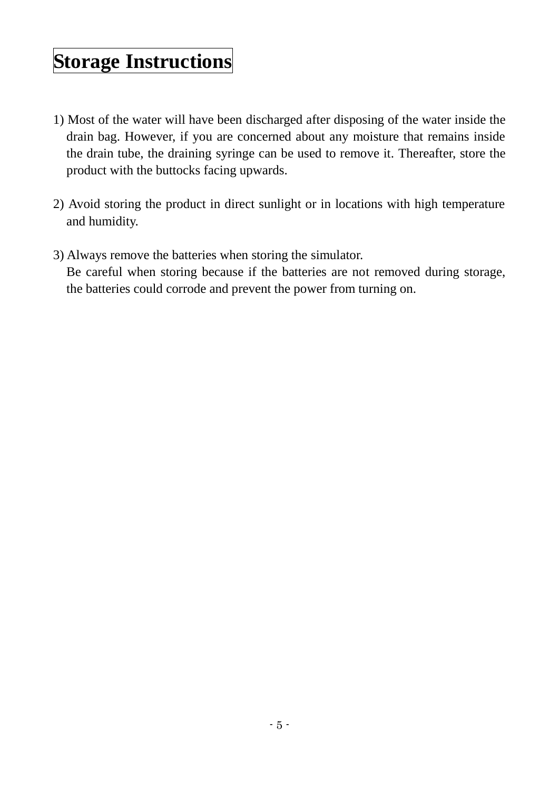## **Storage Instructions**

- 1) Most of the water will have been discharged after disposing of the water inside the drain bag. However, if you are concerned about any moisture that remains inside the drain tube, the draining syringe can be used to remove it. Thereafter, store the product with the buttocks facing upwards.
- 2) Avoid storing the product in direct sunlight or in locations with high temperature and humidity.
- 3) Always remove the batteries when storing the simulator. Be careful when storing because if the batteries are not removed during storage, the batteries could corrode and prevent the power from turning on.